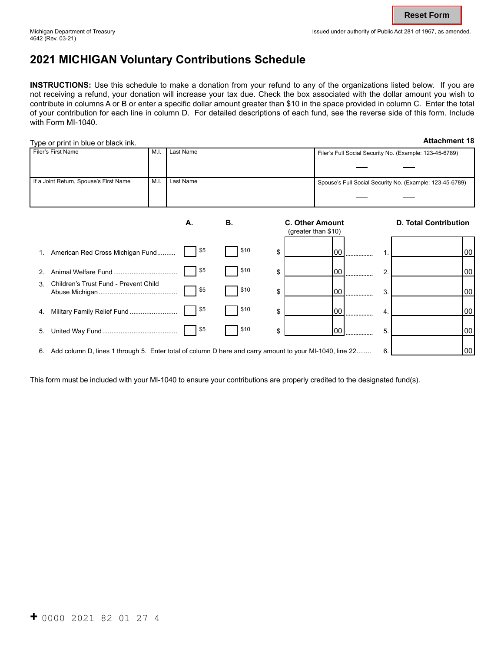# **2021 MICHIGAN Voluntary Contributions Schedule**

**INSTRUCTIONS:** Use this schedule to make a donation from your refund to any of the organizations listed below. If you are not receiving a refund, your donation will increase your tax due. Check the box associated with the dollar amount you wish to contribute in columns A or B or enter a specific dollar amount greater than \$10 in the space provided in column C. Enter the total of your contribution for each line in column D. For detailed descriptions of each fund, see the reverse side of this form. Include with Form MI-1040.

| Type or print in blue or black ink.                                                                        |           |           |           |                                                         |                     |                              | <b>Attachment 18</b>                                     |
|------------------------------------------------------------------------------------------------------------|-----------|-----------|-----------|---------------------------------------------------------|---------------------|------------------------------|----------------------------------------------------------|
| Filer's First Name                                                                                         | Last Name |           |           | Filer's Full Social Security No. (Example: 123-45-6789) |                     |                              |                                                          |
|                                                                                                            |           |           |           |                                                         |                     |                              |                                                          |
| If a Joint Return, Spouse's First Name                                                                     | M.I.      | Last Name |           |                                                         |                     |                              | Spouse's Full Social Security No. (Example: 123-45-6789) |
|                                                                                                            |           |           |           |                                                         |                     |                              |                                                          |
|                                                                                                            |           | А.        | <b>B.</b> | <b>C. Other Amount</b>                                  |                     | <b>D. Total Contribution</b> |                                                          |
|                                                                                                            |           |           |           |                                                         | (greater than \$10) |                              |                                                          |
| American Red Cross Michigan Fund                                                                           |           | \$5       | \$10      | \$                                                      | 00                  |                              | 00                                                       |
| \$5<br>2.                                                                                                  |           |           | \$10      | \$                                                      | 100<br>             | 2.                           | 00                                                       |
| Children's Trust Fund - Prevent Child<br>3                                                                 |           |           | \$10      | \$                                                      | 00                  | 3.                           | 00                                                       |
| \$5<br>Military Family Relief Fund<br>4.                                                                   |           | \$10      | \$        | 00<br>                                                  | 4.                  | 00                           |                                                          |
| 5.                                                                                                         |           | \$5       | \$10      | \$                                                      | 00                  | 5                            | 00                                                       |
| 6. Add column D, lines 1 through 5. Enter total of column D here and carry amount to your MI-1040, line 22 |           |           |           |                                                         |                     | 6.                           | 00                                                       |

This form must be included with your MI-1040 to ensure your contributions are properly credited to the designated fund(s).